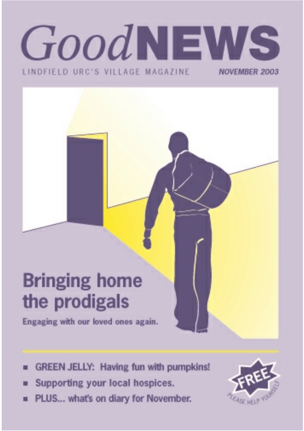## GoodNEWS LINDEIFLD URC'S VILLAGE MAGAZINE **NOVEMBER 2003**

# **Bringing home** the prodigals

Engaging with our loved ones again.

- **GREEN JELLY: Having fun with pumpkins!** ш
- Supporting your local hospices. п
- PLUS... what's on diary for November. m.

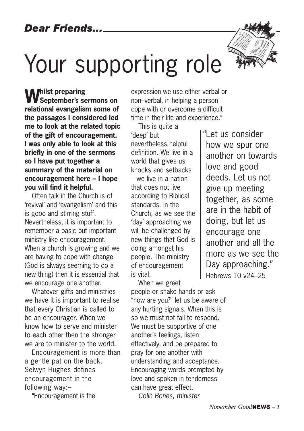*Dear Friends...*

# Your supporting role

**Whilst preparing September's sermons on relational evangelism some of the passages I considered led me to look at the related topic of the gift of encouragement. I was only able to look at this briefly in one of the sermons so I have put together a summary of the material on encouragement here – I hope you will find it helpful.**

Often talk in the Church is of 'revival' and 'evangelism' and this is good and stirring stuff. Nevertheless, it is important to remember a basic but important ministry like encouragement. When a church is growing and we are having to cope with change (God is always seeming to do a new thing) then it is essential that we encourage one another.

Whatever gifts and ministries we have it is important to realise that every Christian is called to be an encourager. When we know how to serve and minister to each other then the stronger we are to minister to the world.

Encouragement is more than a gentle pat on the back. Selwyn Hughes defines encouragement in the following way:–

"Encouragement is the

expression we use either verbal or non–verbal, in helping a person cope with or overcome a difficult time in their life and experience."

This is quite a 'deep' but nevertheless helpful definition. We live in a world that gives us knocks and setbacks – we live in a nation that does not live according to Biblical standards. In the Church, as we see the 'day' approaching we will be challenged by new things that God is doing amongst his people. The ministry of encouragement is vital.

When we greet people or shake hands or ask "how are you?" let us be aware of any hurting signals. When this is so we must not fail to respond. We must be supportive of one another's feelings, listen effectively, and be prepared to pray for one another with understanding and acceptance. Encouraging words prompted by love and spoken in tenderness can have great effect. *Colin Bones, minister*

"Let us consider how we spur one another on towards love and good deeds. Let us not give up meeting together, as some are in the habit of doing, but let us encourage one another and all the more as we see the Day approaching." Hebrews 10 v24–25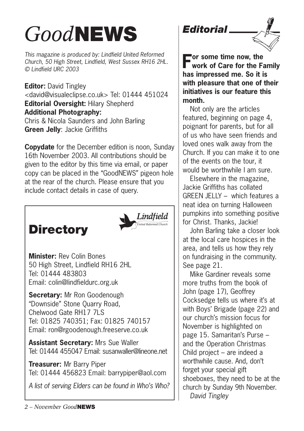# *Good***NEWS**

*This magazine is produced by: Lindfield United Reformed Church, 50 High Street, Lindfield, West Sussex RH16 2HL. © Lindfield URC 2003*

**Editor:** David Tingley <david@visualeclipse.co.uk> Tel: 01444 451024 **Editorial Oversight:** Hilary Shepherd **Additional Photography:** Chris & Nicola Saunders and John Barling **Green Jelly**: Jackie Griffiths

**Copydate** for the December edition is noon, Sunday 16th November 2003. All contributions should be given to the editor by this time via email, or paper copy can be placed in the "GoodNEWS" pigeon hole at the rear of the church. Please ensure that you include contact details in case of query.





**Minister:** Rev Colin Bones 50 High Street, Lindfield RH16 2HL Tel: 01444 483803 Email: colin@lindfieldurc.org.uk

**Secretary:** Mr Ron Goodenough "Downside" Stone Quarry Road, Chelwood Gate RH17 7LS Tel: 01825 740351; Fax: 01825 740157 Email: ron@rgoodenough.freeserve.co.uk

**Assistant Secretary:** Mrs Sue Waller Tel: 01444 455047 Email: susanwaller@lineone.net

**Treasurer:** Mr Barry Piper Tel: 01444 456823 Email: barrypiper@aol.com

*A list of serving Elders can be found in Who's Who?*

*Editorial*



**For some time now, the work of Care for the Family has impressed me. So it is with pleasure that one of their initiatives is our feature this month.** 

Not only are the articles featured, beginning on page 4, poignant for parents, but for all of us who have seen friends and loved ones walk away from the Church. If you can make it to one of the events on the tour, it would be worthwhile I am sure.

Elsewhere in the magazine, Jackie Griffiths has collated GREEN JELLY – which features a neat idea on turning Halloween pumpkins into something positive for Christ. Thanks, Jackie!

John Barling take a closer look at the local care hospices in the area, and tells us how they rely on fundraising in the community. See page 21.

Mike Gardiner reveals some more truths from the book of John (page 17), Geoffrey Cocksedge tells us where it's at with Boys' Brigade (page 22) and our church's mission focus for November is highlighted on page 15. Samaritan's Purse – and the Operation Christmas Child project – are indeed a worthwhile cause. And, don't forget your special gift shoeboxes, they need to be at the church by Sunday 9th November. *David Tingley*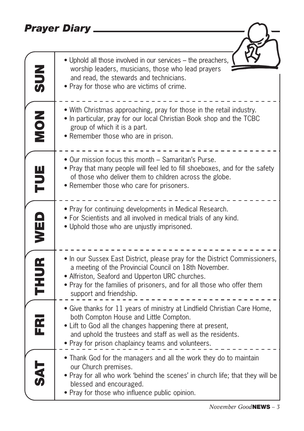## *Prayer Diary*

|                         | <b>Prayer Diary</b>                                                                                                                                                                                                                                                                                  |
|-------------------------|------------------------------------------------------------------------------------------------------------------------------------------------------------------------------------------------------------------------------------------------------------------------------------------------------|
|                         |                                                                                                                                                                                                                                                                                                      |
| <b>NUS</b>              | • Uphold all those involved in our services – the preachers,<br>worship leaders, musicians, those who lead prayers<br>and read, the stewards and technicians.<br>• Pray for those who are victims of crime.                                                                                          |
| NON<br>NON              | • With Christmas approaching, pray for those in the retail industry.<br>• In particular, pray for our local Christian Book shop and the TCBC<br>group of which it is a part.<br>• Remember those who are in prison.                                                                                  |
| TUE                     | . Our mission focus this month - Samaritan's Purse.<br>• Pray that many people will feel led to fill shoeboxes, and for the safety<br>of those who deliver them to children across the globe.<br>• Remember those who care for prisoners.                                                            |
| WED                     | • Pray for continuing developments in Medical Research.<br>. For Scientists and all involved in medical trials of any kind.<br>. Uphold those who are unjustly imprisoned.                                                                                                                           |
| <b>THUR</b>             | • In our Sussex East District, please pray for the District Commissioners,<br>a meeting of the Provincial Council on 18th November.<br>• Alfriston, Seaford and Upperton URC churches.<br>• Pray for the families of prisoners, and for all those who offer them<br>support and friendship.          |
| $\overline{\mathbf{r}}$ | · Give thanks for 11 years of ministry at Lindfield Christian Care Home,<br>both Compton House and Little Compton.<br>• Lift to God all the changes happening there at present,<br>and uphold the trustees and staff as well as the residents.<br>• Pray for prison chaplaincy teams and volunteers. |
| 万代                      | • Thank God for the managers and all the work they do to maintain<br>our Church premises.<br>• Pray for all who work 'behind the scenes' in church life; that they will be<br>blessed and encouraged.<br>• Pray for those who influence public opinion.                                              |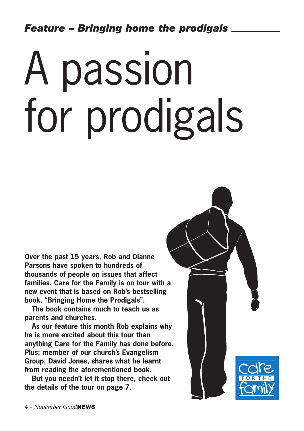# A passion for prodigals

**Over the past 15 years, Rob and Dianne Parsons have spoken to hundreds of thousands of people on issues that affect families. Care for the Family is on tour with a new event that is based on Rob's bestselling book, "Bringing Home the Prodigals".** 

**The book contains much to teach us as parents and churches.**

**As our feature this month Rob explains why he is more excited about this tour than anything Care for the Family has done before. Plus; member of our church's Evangelism Group, David Jones, shares what he learnt from reading the aforementioned book.** 

**But you needn't let it stop there, check out the details of the tour on page 7.**

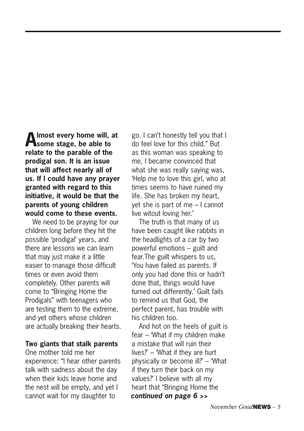**Almost every home will, at some stage, be able to relate to the parable of the prodigal son. It is an issue that will affect nearly all of us. If I could have any prayer granted with regard to this initiative, it would be that the parents of young children would come to these events.** 

We need to be praying for our children long before they hit the possible 'prodigal' years, and there are lessons we can learn that may just make it a little easier to manage those difficult times or even avoid them completely. Other parents will come to "Bringing Home the Prodigals" with teenagers who are testing them to the extreme, and yet others whose children are actually breaking their hearts.

#### **Two giants that stalk parents**

One mother told me her experience: "I hear other parents talk with sadness about the day when their kids leave home and the nest will be empty, and yet I cannot wait for my daughter to

go. I can't honestly tell you that I do feel love for this child." But as this woman was speaking to me, I became convinced that what she was really saying was, 'Help me to love this girl, who at times seems to have ruined my life. She has broken my heart, yet she is part of me – I cannot live witout loving her.'

The truth is that many of us have been caught like rabbits in the headlights of a car by two powerful emotions – guilt and fear.The guilt whispers to us, 'You have failed as parents. If only you had done this or hadn't done that, things would have turned out differently.' Guilt fails to remind us that God, the perfect parent, has trouble with his children too.

And hot on the heels of guilt is fear – 'What if my children make a mistake that will ruin their lives?' – 'What if they are hurt physically or become ill?' – 'What if they turn their back on my values?' I believe with all my heart that "Bringing Home the *continued on page 6 >>*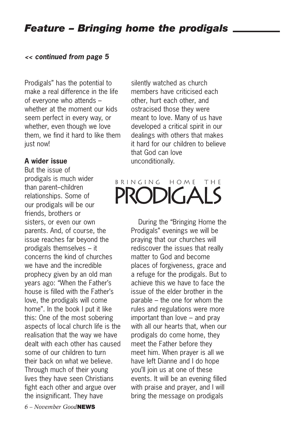## *Feature – Bringing home the prodigals*

#### *<< continued from page 5*

Prodigals" has the potential to make a real difference in the life of everyone who attends – whether at the moment our kids seem perfect in every way, or whether, even though we love them, we find it hard to like them just now!

#### **A wider issue**

But the issue of prodigals is much wider than parent–children relationships. Some of our prodigals will be our friends, brothers or sisters, or even our own parents. And, of course, the issue reaches far beyond the prodigals themselves – it concerns the kind of churches we have and the incredible prophecy given by an old man years ago: "When the Father's house is filled with the Father's love, the prodigals will come home". In the book I put it like this: One of the most sobering aspects of local church life is the realisation that the way we have dealt with each other has caused some of our children to turn their back on what we believe. Through much of their young lives they have seen Christians fight each other and argue over the insignificant. They have

silently watched as church members have criticised each other, hurt each other, and ostracised those they were meant to love. Many of us have developed a critical spirit in our dealings with others that makes it hard for our children to believe that God can love unconditionally.

## BRINGING HOME THE **PRODIGALS**

During the "Bringing Home the Prodigals" evenings we will be praying that our churches will rediscover the issues that really matter to God and become places of forgiveness, grace and a refuge for the prodigals. But to achieve this we have to face the issue of the elder brother in the parable – the one for whom the rules and regulations were more important than love – and pray with all our hearts that, when our prodigals do come home, they meet the Father before they meet him. When prayer is all we have left Dianne and I do hope you'll join us at one of these events. It will be an evening filled with praise and prayer, and I will bring the message on prodigals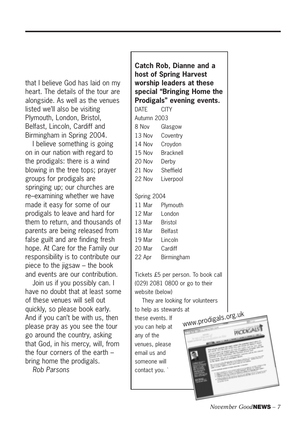that I believe God has laid on my heart. The details of the tour are alongside. As well as the venues listed we'll also be visiting Plymouth, London, Bristol, Belfast, Lincoln, Cardiff and Birmingham in Spring 2004.

I believe something is going on in our nation with regard to the prodigals: there is a wind blowing in the tree tops; prayer groups for prodigals are springing up; our churches are re–examining whether we have made it easy for some of our prodigals to leave and hard for them to return, and thousands of parents are being released from false guilt and are finding fresh hope. At Care for the Family our responsibility is to contribute our piece to the jigsaw  $-$  the book and events are our contribution.

Join us if you possibly can. I have no doubt that at least some of these venues will sell out quickly, so please book early. And if you can't be with us, then please pray as you see the tour go around the country, asking that God, in his mercy, will, from the four corners of the earth – bring home the prodigals.

*Rob Parsons*

**Catch Rob, Dianne and a host of Spring Harvest worship leaders at these special "Bringing Home the Prodigals" evening events.** DATE CITY Autumn 2003 8 Nov Glasgow 13 Nov Coventry 14 Nov Croydon 15 Nov Bracknell 20 Nov Derby 21 Nov Sheffield 22 Nov Liverpool Spring 2004 11 Mar Plymouth 12 Mar London 13 Mar Bristol 18 Mar Belfast 19 Mar Lincoln 20 Mar Cardiff 22 Apr Birmingham Tickets £5 per person. To book call (029) 2081 0800 or go to their website (below) They are looking for volunteers to help as stewards at these events. If you can help at any of the venues, please email us and someone will contact you. ` www.prodigals.org.uk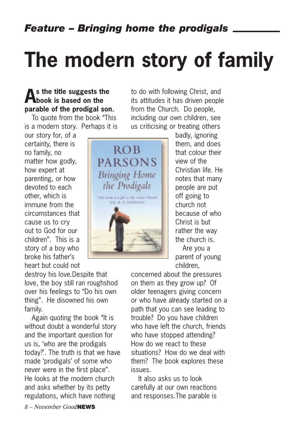# **The modern story of family**

## **As the title suggests the book is based on the parable of the prodigal son.**

To quote from the book "This is a modern story. Perhaps it is

our story for, of a certainty, there is no family, no matter how godly, how expert at parenting, or how devoted to each other, which is immune from the circumstances that cause us to cry out to God for our children". This is a story of a boy who broke his father's heart but could not

destroy his love.Despite that love, the boy still ran roughshod over his feelings to "Do his own thing". He disowned his own family.

Again quoting the book "It is without doubt a wonderful story and the important question for us is, 'who are the prodigals today?'. The truth is that we have made 'prodigals' of some who never were in the first place". He looks at the modern church and asks whether by its petty regulations, which have nothing

to do with following Christ, and its attitudes it has driven people from the Church. Do people, including our own children, see us criticising or treating others



badly, ignoring them, and does that colour their view of the Christian life. He notes that many people are put off going to church not because of who Christ is but rather the way the church is. Are you a

parent of young children,

concerned about the pressures on them as they grow up? Of older teenagers giving concern or who have already started on a path that you can see leading to trouble? Do you have children who have left the church, friends who have stopped attending? How do we react to these situations? How do we deal with them? The book explores these issues.

It also asks us to look carefully at our own reactions and responses.The parable is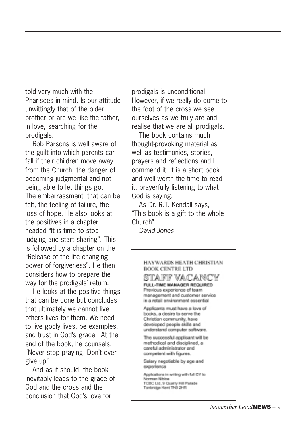told very much with the Pharisees in mind. Is our attitude unwittingly that of the older brother or are we like the father, in love, searching for the prodigals.

Rob Parsons is well aware of the guilt into which parents can fall if their children move away from the Church, the danger of becoming judgmental and not being able to let things go. The embarrassment that can be felt, the feeling of failure, the loss of hope. He also looks at the positives in a chapter headed "It is time to stop judging and start sharing". This is followed by a chapter on the "Release of the life changing power of forgiveness". He then considers how to prepare the way for the prodigals' return.

He looks at the positive things that can be done but concludes that ultimately we cannot live others lives for them. We need to live godly lives, be examples, and trust in God's grace. At the end of the book, he counsels, "Never stop praying. Don't ever give up".

And as it should, the book inevitably leads to the grace of God and the cross and the conclusion that God's love for

prodigals is unconditional. However, if we really do come to the foot of the cross we see ourselves as we truly are and realise that we are all prodigals.

The book contains much thought-provoking material as well as testimonies, stories, prayers and reflections and I commend it. It is a short book and well worth the time to read it, prayerfully listening to what God is saying.

As Dr. R.T. Kendall says, "This book is a gift to the whole Church".

*David Jones*

#### HAYWARDS HEATH CHRISTIAN **BOOK CENTRE LTD**

stafif vacancy FULL-TIME MANAGER REQUIRED Previous experience of team management and customer service in a retail environment essential

Applicants must have a love of books, a desire to serve the Christian community, have developed people skills and understand computer software.

The successful applicant will be methodical and disciplined, a careful administrator and competent with figures.

Salary negotiable by age and experience

Applications in writing with full CV to Norman Nibloe TCBC Ltd. 9 Quarry Hill Parade Tonbridge Kent TN9 2HR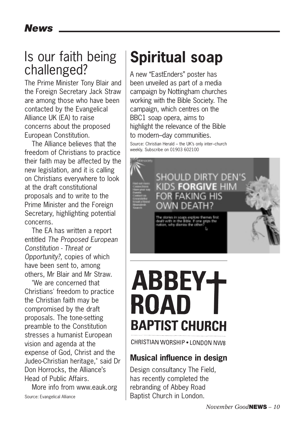## Is our faith being challenged?

The Prime Minister Tony Blair and the Foreign Secretary Jack Straw are among those who have been contacted by the Evangelical Alliance UK (EA) to raise concerns about the proposed European Constitution.

The Alliance believes that the freedom of Christians to practice their faith may be affected by the new legislation, and it is calling on Christians everywhere to look at the draft constitutional proposals and to write to the Prime Minister and the Foreign Secretary, highlighting potential concerns.

The EA has written a report entitled *The Proposed European Constitution - Threat or Opportunity?*, copies of which have been sent to, among others, Mr Blair and Mr Straw.

"We are concerned that Christians' freedom to practice the Christian faith may be compromised by the draft proposals. The tone-setting preamble to the Constitution stresses a humanist European vision and agenda at the expense of God, Christ and the Judeo-Christian heritage," said Dr Don Horrocks, the Alliance's Head of Public Affairs.

More info from www.eauk.org

## **Spiritual soap**

A new "EastEnders" poster has been unveiled as part of a media campaign by Nottingham churches working with the Bible Society. The campaign, which centres on the BBC1 soap opera, aims to highlight the relevance of the Bible to modern–day communities. Source: Christian Herald – the UK's only inter–church weekly. Subscribe on 01903 602100



# ROAD **BAPTIST CHURCH**

CHRISTIAN WORSHIP . I ONDON NW8

## **Musical influence in design**

Design consultancy The Field, has recently completed the rebranding of Abbey Road Baptist Church in London.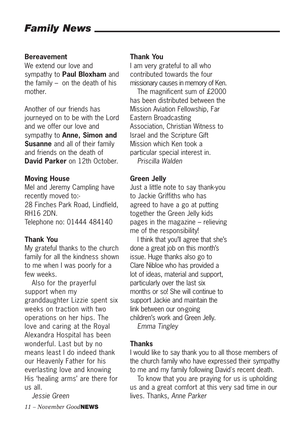## *Family News*

#### **Bereavement**

We extend our love and sympathy to **Paul Bloxham** and the family – on the death of his mother.

Another of our friends has journeyed on to be with the Lord and we offer our love and sympathy to **Anne, Simon and Susanne** and all of their family and friends on the death of **David Parker** on 12th October.

#### **Moving House**

Mel and Jeremy Campling have recently moved to:- 28 Finches Park Road, Lindfield, RH16 2DN. Telephone no: 01444 484140

#### **Thank You**

My grateful thanks to the church family for all the kindness shown to me when I was poorly for a few weeks.

Also for the prayerful support when my granddaughter Lizzie spent six weeks on traction with two operations on her hips. The love and caring at the Royal Alexandra Hospital has been wonderful. Last but by no means least I do indeed thank our Heavenly Father for his everlasting love and knowing His 'healing arms' are there for us all.

*Jessie Green*

*11 – November Good***NEWS**

#### **Thank You**

I am very grateful to all who contributed towards the four missionary causes in memory of Ken.

The magnificent sum of £2000 has been distributed between the Mission Aviation Fellowship, Far Eastern Broadcasting Association, Christian Witness to Israel and the Scripture Gift Mission which Ken took a particular special interest in. *Priscilla Walden*

#### **Green Jelly**

Just a little note to say thank-you to Jackie Griffiths who has agreed to have a go at putting together the Green Jelly kids pages in the magazine – relieving me of the responsibility!

I think that you'll agree that she's done a great job on this month's issue. Huge thanks also go to Clare Nibloe who has provided a lot of ideas, material and support, particularly over the last six months or so! She will continue to support Jackie and maintain the link between our on-going children's work and Green Jelly. *Emma Tingley* 

### **Thanks**

I would like to say thank you to all those members of the church family who have expressed their sympathy to me and my family following David's recent death.

To know that you are praying for us is upholding us and a great comfort at this very sad time in our lives. Thanks, *Anne Parker*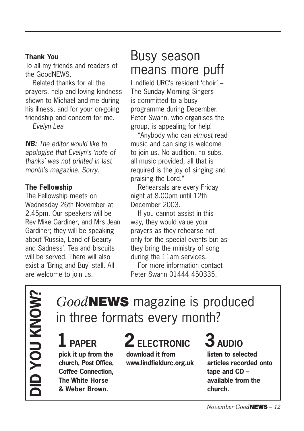#### **Thank You**

To all my friends and readers of the GoodNEWS.

Belated thanks for all the prayers, help and loving kindness shown to Michael and me during his illness, and for your on-going friendship and concern for me.

*Evelyn Lea*

*NB: The editor would like to apologise that Evelyn's 'note of thanks' was not printed in last month's magazine. Sorry.*

### **The Fellowship**

The Fellowship meets on Wednesday 26th November at 2.45pm. Our speakers will be Rev Mike Gardiner, and Mrs Jean Gardiner; they will be speaking about 'Russia, Land of Beauty and Sadness'. Tea and biscuits will be served. There will also exist a 'Bring and Buy' stall. All are welcome to join us.

## Busy season means more puff

Lindfield URC's resident 'choir' – The Sunday Morning Singers – is committed to a busy programme during December. Peter Swann, who organises the group, is appealing for help!

"Anybody who can *almost* read music and can sing is welcome to join us. No audition, no subs, all music provided, all that is required is the joy of singing and praising the Lord."

Rehearsals are every Friday night at 8.00pm until 12th December 2003.

If you cannot assist in this way, they would value your prayers as they rehearse not only for the special events but as they bring the ministry of song during the 11am services.

For more information contact Peter Swann 01444 450335.

**DID YOU KNOW? ID YOU KNOW?** 

## *Good***NEWS** magazine is produced in three formats every month?

**pick it up from the church, Post Office, Coffee Connection, The White Horse & Weber Brown.**

# 1 PAPER 2 ELECTRONIC 3 AUDIO

**download it from www.lindfieldurc.org.uk**

**listen to selected articles recorded onto tape and CD – available from the church.**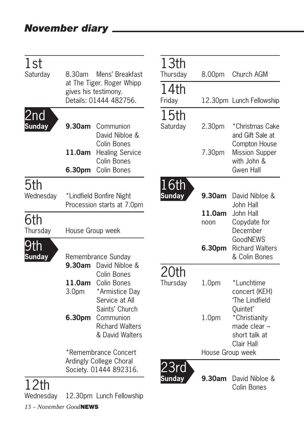| 1st<br>Saturday      | 8.30am                                         | Mens' Breakfast                                                             | 13th<br>Thursday | 8.00pm            | Church AGM                                                               |
|----------------------|------------------------------------------------|-----------------------------------------------------------------------------|------------------|-------------------|--------------------------------------------------------------------------|
|                      |                                                | at The Tiger. Roger Whipp<br>gives his testimony.<br>Details: 01444 482756. | 14th<br>Friday   |                   | 12.30pm Lunch Fellowship                                                 |
| 2nd<br><b>Sunday</b> | 9.30am                                         | Communion<br>David Nibloe &<br>Colin Bones                                  | 15th<br>Saturday | 2.30pm            | *Christmas Cake<br>and Gift Sale at<br>Compton House                     |
|                      | 11.0am<br>6.30pm                               | <b>Healing Service</b><br>Colin Bones<br>Colin Bones                        |                  | 7.30pm            | <b>Mission Supper</b><br>with John &<br>Gwen Hall                        |
| 5th                  |                                                |                                                                             | 16th             |                   |                                                                          |
| Wednesday            |                                                | *Lindfield Bonfire Night<br>Procession starts at 7.0pm                      | <b>Sunday</b>    | 9.30am            | David Nibloe &<br>John Hall                                              |
| 6th<br>Thursday      | House Group week                               |                                                                             |                  | 11.0am<br>noon    | John Hall<br>Copydate for<br>December                                    |
| 9th<br><b>Sunday</b> | Remembrance Sunday<br>9.30am<br>David Nibloe & |                                                                             |                  | 6.30pm            | GoodNEWS<br><b>Richard Walters</b><br>& Colin Bones                      |
|                      | 11.0am<br>3.0 <sub>pm</sub>                    | Colin Bones<br>Colin Bones<br>*Armistice Day<br>Service at All              | 20th<br>Thursday | 1.0 <sub>pm</sub> | *Lunchtime<br>concert (KEH)<br>'The Lindfield                            |
|                      | 6.30pm                                         | Saints' Church<br>Communion<br><b>Richard Walters</b><br>& David Walters    |                  | 1.0 <sub>pm</sub> | Quintet'<br>*Christianity<br>made clear -<br>short talk at<br>Clair Hall |
|                      | *Remembrance Concert                           |                                                                             |                  | House Group week  |                                                                          |
|                      |                                                | Ardingly College Choral<br>Society. 01444 892316.                           |                  |                   |                                                                          |
| 12th                 |                                                |                                                                             | Sunday           | 9.30am            | David Nibloe &<br>Colin Bones                                            |
| Wednesday            |                                                | 12.30pm Lunch Fellowship                                                    |                  |                   |                                                                          |

*13 – November Good***NEWS**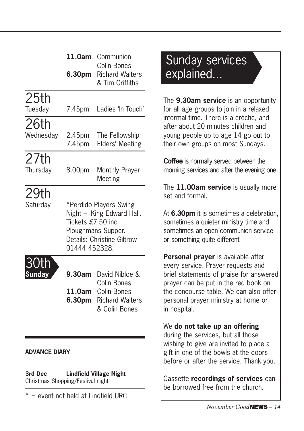|               | 11.0am                                                                                                                                        | Communion<br><b>Colin Bones</b>                                       |
|---------------|-----------------------------------------------------------------------------------------------------------------------------------------------|-----------------------------------------------------------------------|
|               | 6.30pm                                                                                                                                        | <b>Richard Walters</b><br>& Tim Griffiths                             |
| 25th          |                                                                                                                                               |                                                                       |
| Tuesday       | 7.45pm                                                                                                                                        | Ladies 'In Touch'                                                     |
| 26th          |                                                                                                                                               |                                                                       |
| Wednesday     | 2.45pm<br>7.45pm                                                                                                                              | The Fellowship<br>Elders' Meeting                                     |
| 27th          |                                                                                                                                               |                                                                       |
| Thursday      | 8.00pm                                                                                                                                        | <b>Monthly Prayer</b><br>Meeting                                      |
| 29th          |                                                                                                                                               |                                                                       |
| Saturday      | *Perdido Players Swing<br>Night - King Edward Hall.<br>Tickets £7.50 inc<br>Ploughmans Supper.<br>Details: Christine Giltrow<br>01444 452328. |                                                                       |
|               | 9.30am                                                                                                                                        | David Nibloe &                                                        |
|               | 11.0am<br>6.30pm                                                                                                                              | Colin Bones<br>Colin Bones<br><b>Richard Walters</b><br>& Colin Bones |
| ADVANCE DIARY |                                                                                                                                               |                                                                       |

**3rd Dec Lindfield Village Night** Christmas Shopping/Festival night

 $* =$  event not held at Lindfield URC

## Sunday services explained...

The **9.30am service** is an opportunity for all age groups to join in a relaxed informal time. There is a crèche, and after about 20 minutes children and young people up to age 14 go out to their own groups on most Sundays.

**Coffee** is normally served between the morning services and after the evening one.

The **11.00am service** is usually more set and formal.

At **6.30pm** it is sometimes a celebration, sometimes a quieter ministry time and sometimes an open communion service or something quite different!

**Personal prayer** is available after every service. Prayer requests and brief statements of praise for answered prayer can be put in the red book on the concourse table. We can also offer personal prayer ministry at home or in hospital.

We **do not take up an offering** during the services, but all those wishing to give are invited to place a gift in one of the bowls at the doors before or after the service. Thank you.

Cassette **recordings of services** can be borrowed free from the church.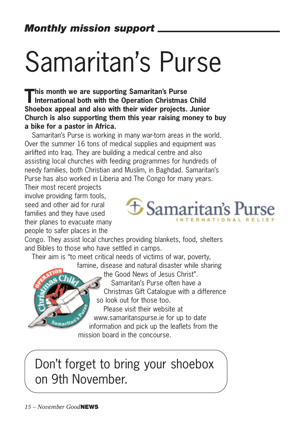# Samaritan's Purse

**This month we are supporting Samaritan's Purse**<br>International both with the Operation Christmas Child **Shoebox appeal and also with their wider projects. Junior Church is also supporting them this year raising money to buy a bike for a pastor in Africa.**

Samaritan's Purse is working in many war-torn areas in the world. Over the summer 16 tons of medical supplies and equipment was airlifted into Iraq. They are building a medical centre and also assisting local churches with feeding programmes for hundreds of needy families, both Christian and Muslim, in Baghdad. Samaritan's Purse has also worked in Liberia and The Congo for many years.

Their most recent projects involve providing farm tools, seed and other aid for rural families and they have used their planes to evacuate many people to safer places in the



Congo. They assist local churches providing blankets, food, shelters and Bibles to those who have settled in camps.

Their aim is "to meet critical needs of victims of war, poverty, famine, disease and natural disaster while sharing the Good News of Jesus Christ". Samaritan's Purse often have a

Christmas Gift Catalogue with a difference so look out for those too.

Please visit their website at www.samaritanspurse.ie for up to date information and pick up the leaflets from the mission board in the concourse.

Don't forget to bring your shoebox on 9th November.

amarital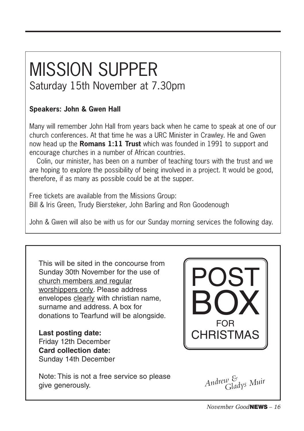# MISSION SUPPER

## Saturday 15th November at 7.30pm

## **Speakers: John & Gwen Hall**

Many will remember John Hall from years back when he came to speak at one of our church conferences. At that time he was a URC Minister in Crawley. He and Gwen now head up the **Romans 1:11 Trust** which was founded in 1991 to support and encourage churches in a number of African countries.

Colin, our minister, has been on a number of teaching tours with the trust and we are hoping to explore the possibility of being involved in a project. It would be good, therefore, if as many as possible could be at the supper.

Free tickets are available from the Missions Group: Bill & Iris Green, Trudy Biersteker, John Barling and Ron Goodenough

John & Gwen will also be with us for our Sunday morning services the following day.

This will be sited in the concourse from Sunday 30th November for the use of church members and regular worshippers only. Please address envelopes clearly with christian name, surname and address. A box for donations to Tearfund will be alongside.

**Last posting date:** Friday 12th December **Card collection date:** Sunday 14th December

Note: This is not a free service so please give generously.



*Andrew & Gladys Muir*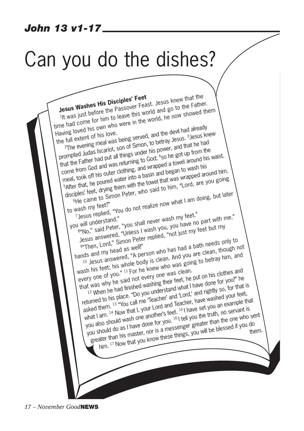## *John 13 v1-17*

# Can you do the dishes?

**Jesus Washes His Disciples' Feet**<br><sup>1</sup>It was just before the Passover Feast. Jesus knew that the<br><sup>1</sup>It was just before thin to leave this world, he now showed Jesus Washes His Disciples reed<br>It was just before the Passover Feast. Jesus knew that the<br>time had come for him to leave this world and go to the Father. Having loved his own who were in the world, he now showed them the full extent of his love. The loved his own who were<br>full extent of his love.<br><sup>2</sup>The evening meal was being served, and the devil had already<br><sup>2</sup>The evening theorist son of Simon, this power, and that he had aville location of his love.<br>
In extent of his love.<br>
The evening meal was being served, and the usus. 3 Jesus knew<br>
The evening meal was being summer his power, and that he had<br>
prompted Judas Iscariot, son of Simon, to b that the Father had put all things under his power, and that he had come from God and was returning to God; 4so he got up from the  $\frac{1}{50}$  he got up from the meal, took off his outer clothing, and wrapped a towel around his waist. at the form God and was four-<br>one from God and was fouring, and wrapped a tome to wash his<br>meal, took off his outer unto a basin and began to wash his<br>safter that, he poured water into a basin and that was wrapped are disciples' feet, drying them with the towel that was wrapped around him. The came to Simon Peter, who said to him, "Lord, are you going to wash my feet?" ples rect, a Simon Peter, who see the came to Simon Peter, who see the came to Simon Peter, who see the came to the came to sum that I am doing, but later and the came to sum that I am doing, but later and the came of the you will understand." Jesus replied, 1999<br>| will understand."<br>| will understand." "You shall never wash my feet."<br>| sindo," said Peter, ""| Inless | wash you <sub>woot</sub> just my" Jesus answered, "Unless I wash you, you have no part with me." Who," said Peter, "you she you, you have."<br>Jesus answered, "Unless I wash you, you have." feet but my<br>get then, Lord," Simon Peter replied, "not just my feet but my<br>get then, Lord," Simon Peter replied, "had a bath needs o hands and my head as well!" 10 Jesus answered, "A person who has had a bath needs only to wash his feet; his whole body is clean. And you are clean, though not wash his feet; his whole body is clean. And you are clean, though not every one was clean. wash ins look, ins more you, is seen as going to betray him, and every one of you." 11 For he knew who was going to betray him, and that was well as well as why he said their feet, he put on his clothes and returned to his place. "Do you understand what I have done for you?" he recurring to this place. By you understand them. There is you can be in that is asked them. 13 "You call me 'Teacher' and 'Lord,' and rightly so, for that is what I am. <sup>14</sup> Now that I, your Lord and Teacher, have washed your feet, you also should wash one another's feet. <sup>15</sup> I have set you an example that you also should wash one another's feet. you also should wash one another of you. There are you all examine and you all examine the greater than his master, nor is a messenger greater than the one who sent him. <sup>17</sup> Now that you know these things, you will be blessed if you do them.

*17 – November Good***NEWS**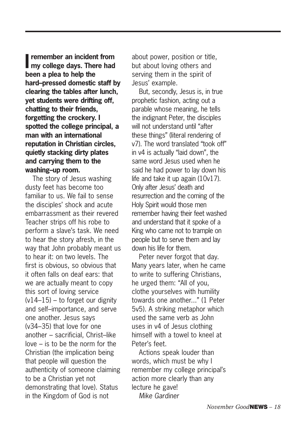**I** remember an incident from<br>
my college days. There had **remember an incident from been a plea to help the hard–pressed domestic staff by clearing the tables after lunch, yet students were drifting off, chatting to their friends, forgetting the crockery. I spotted the college principal, a man with an international reputation in Christian circles, quietly stacking dirty plates and carrying them to the washing–up room.** 

The story of Jesus washing dusty feet has become too familiar to us. We fail to sense the disciples' shock and acute embarrassment as their revered Teacher strips off his robe to perform a slave's task. We need to hear the story afresh, in the way that John probably meant us to hear it: on two levels. The first is obvious, so obvious that it often falls on deaf ears: that we are actually meant to copy this sort of loving service  $(v14–15)$  – to forget our dignity and self–importance, and serve one another. Jesus says (v34–35) that love for one another – sacrificial, Christ–like love – is to be the norm for the Christian (the implication being that people will question the authenticity of someone claiming to be a Christian yet not demonstrating that love). Status in the Kingdom of God is not

about power, position or title, but about loving others and serving them in the spirit of Jesus' example.

But, secondly, Jesus is, in true prophetic fashion, acting out a parable whose meaning, he tells the indignant Peter, the disciples will not understand until "after these things" (literal rendering of v7). The word translated "took off" in v4 is actually "laid down", the same word Jesus used when he said he had power to lay down his life and take it up again (10v17). Only after Jesus' death and resurrection and the coming of the Holy Spirit would those men remember having their feet washed and understand that it spoke of a King who came not to trample on people but to serve them and lay down his life for them.

Peter never forgot that day. Many years later, when he came to write to suffering Christians, he urged them: "All of you, clothe yourselves with humility towards one another..." (1 Peter 5v5). A striking metaphor which used the same verb as John uses in v4 of Jesus clothing himself with a towel to kneel at Peter's feet.

Actions speak louder than words, which must be why I remember my college principal's action more clearly than any lecture he gave! *Mike Gardiner*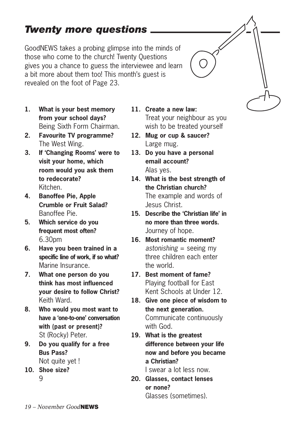## *Twenty more questions*

GoodNEWS takes a probing glimpse into the minds of those who come to the church! Twenty Questions gives you a chance to guess the interviewee and learn a bit more about them too! This month's guest is revealed on the foot of Page 23.

- **1. What is your best memory from your school days?** Being Sixth Form Chairman.
- **2. Favourite TV programme?** The West Wing.
- **3. If 'Changing Rooms' were to visit your home, which room would you ask them to redecorate?** Kitchen.
- **4. Banoffee Pie, Apple Crumble or Fruit Salad?** Banoffee Pie.
- **5. Which service do you frequent most often?** 6.30pm
- **6. Have you been trained in a specific line of work, if so what?** Marine Insurance.
- **7. What one person do you think has most influenced your desire to follow Christ?** Keith Ward.
- **8. Who would you most want to have a 'one-to-one' conversation with (past or present)?** St (Rocky) Peter.
- **9. Do you qualify for a free Bus Pass?** Not quite yet!
- **10. Shoe size?** 9
- **11. Create a new law:** Treat your neighbour as you wish to be treated yourself
- **12. Mug or cup & saucer?** Large mug.
- **13. Do you have a personal email account?** Alas yes.
- **14. What is the best strength of the Christian church?** The example and words of Jesus Christ.
- **15. Describe the 'Christian life' in no more than three words.** Journey of hope.
- **16. Most romantic moment?** *astonishing* = seeing my three children each enter the world.
- **17. Best moment of fame?** Playing football for East Kent Schools at Under 12.
- **18. Give one piece of wisdom to the next generation.** Communicate continuously with God.
- **19. What is the greatest difference between your life now and before you became a Christian?**

I swear a lot less now.

**20. Glasses, contact lenses or none?** Glasses (sometimes).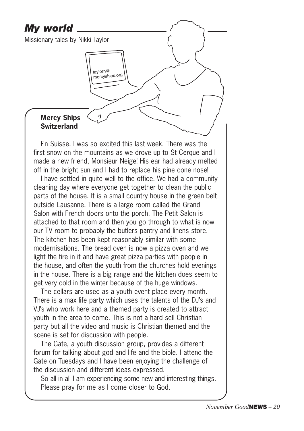## *My world* Missionary tales by Nikki Taylortaylorn@ mercyships.org **Mercy Ships** <sup>1</sup> **Switzerland**

En Suisse. I was so excited this last week. There was the first snow on the mountains as we drove up to St Cerque and I made a new friend, Monsieur Neige! His ear had already melted off in the bright sun and I had to replace his pine cone nose!

I have settled in quite well to the office. We had a community cleaning day where everyone get together to clean the public parts of the house. It is a small country house in the green belt outside Lausanne. There is a large room called the Grand Salon with French doors onto the porch. The Petit Salon is attached to that room and then you go through to what is now our TV room to probably the butlers pantry and linens store. The kitchen has been kept reasonably similar with some modernisations. The bread oven is now a pizza oven and we light the fire in it and have great pizza parties with people in the house, and often the youth from the churches hold evenings in the house. There is a big range and the kitchen does seem to get very cold in the winter because of the huge windows.

The cellars are used as a youth event place every month. There is a max life party which uses the talents of the DJ's and VJ's who work here and a themed party is created to attract youth in the area to come. This is not a hard sell Christian party but all the video and music is Christian themed and the scene is set for discussion with people.

The Gate, a youth discussion group, provides a different forum for talking about god and life and the bible. I attend the Gate on Tuesdays and I have been enjoying the challenge of the discussion and different ideas expressed.

So all in all I am experiencing some new and interesting things. Please pray for me as I come closer to God.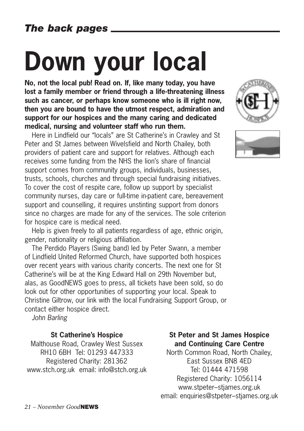# **Down your local**

**No, not the local pub! Read on. If, like many today, you have lost a family member or friend through a life-threatening illness such as cancer, or perhaps know someone who is ill right now, then you are bound to have the utmost respect, admiration and support for our hospices and the many caring and dedicated medical, nursing and volunteer staff who run them.**

Here in Lindfield our "locals" are St Catherine's in Crawley and St Peter and St James between Wivelsfield and North Chailey, both providers of patient care and support for relatives. Although each receives some funding from the NHS the lion's share of financial support comes from community groups, individuals, businesses, trusts, schools, churches and through special fundraising initiatives. To cover the cost of respite care, follow up support by specialist community nurses, day care or full-time in-patient care, bereavement support and counselling, it requires unstinting support from donors since no charges are made for any of the services. The sole criterion for hospice care is medical need.

Help is given freely to all patients regardless of age, ethnic origin, gender, nationality or religious affiliation.

The Perdido Players (Swing band) led by Peter Swann, a member of Lindfield United Reformed Church, have supported both hospices over recent years with various charity concerts. The next one for St Catherine's will be at the King Edward Hall on 29th November but, alas, as GoodNEWS goes to press, all tickets have been sold, so do look out for other opportunities of supporting your local. Speak to Christine Giltrow, our link with the local Fundraising Support Group, or contact either hospice direct.

*John Barling*

#### **St Catherine's Hospice**

Malthouse Road, Crawley West Sussex RH10 6BH Tel: 01293 447333 Registered Charity: 281362 www.stch.org.uk email: info@stch.org.uk





#### **St Peter and St James Hospice and Continuing Care Centre**

North Common Road, North Chailey, East Sussex BN8 4ED Tel: 01444 471598 Registered Charity: 1056114 www.stpeter–stjames.org.uk email: enquiries@stpeter–stjames.org.uk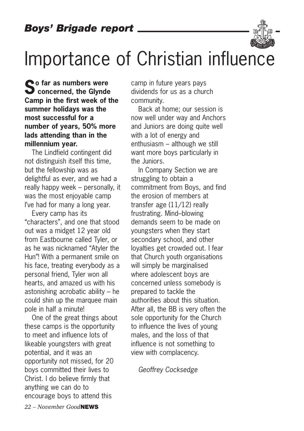

# Importance of Christian influence

 $\bullet$  o far as numbers were Concerned, the Glynde **Camp in the first week of the summer holidays was the most successful for a number of years, 50% more lads attending than in the millennium year.** 

The Lindfield contingent did not distinguish itself this time, but the fellowship was as delightful as ever, and we had a really happy week – personally, it was the most enjoyable camp I've had for many a long year.

Every camp has its "characters", and one that stood out was a midget 12 year old from Eastbourne called Tyler, or as he was nicknamed "Atyler the Hun"! With a permanent smile on his face, treating everybody as a personal friend, Tyler won all hearts, and amazed us with his astonishing acrobatic ability – he could shin up the marquee main pole in half a minute!

One of the great things about these camps is the opportunity to meet and influence lots of likeable youngsters with great potential, and it was an opportunity not missed, for 20 boys committed their lives to Christ. I do believe firmly that anything we can do to encourage boys to attend this

camp in future years pays dividends for us as a church community.

Back at home; our session is now well under way and Anchors and Juniors are doing quite well with a lot of energy and enthusiasm – although we still want more boys particularly in the Juniors.

In Company Section we are struggling to obtain a commitment from Boys, and find the erosion of members at transfer age (11/12) really frustrating. Mind–blowing demands seem to be made on youngsters when they start secondary school, and other loyalties get crowded out. I fear that Church youth organisations will simply be marginalised where adolescent boys are concerned unless somebody is prepared to tackle the authorities about this situation. After all, the BB is very often the sole opportunity for the Church to influence the lives of young males, and the loss of that influence is not something to view with complacency.

*Geoffrey Cocksedge*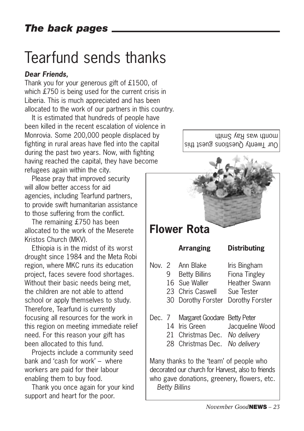## Tearfund sends thanks

## *Dear Friends,*

Thank you for your generous gift of £1500, of which £750 is being used for the current crisis in Liberia. This is much appreciated and has been allocated to the work of our partners in this country.

It is estimated that hundreds of people have been killed in the recent escalation of violence in Monrovia. Some 200,000 people displaced by fighting in rural areas have fled into the capital during the past two years. Now, with fighting having reached the capital, they have become refugees again within the city.

Please pray that improved security will allow better access for aid agencies, including Tearfund partners, to provide swift humanitarian assistance to those suffering from the conflict.

The remaining £750 has been allocated to the work of the Meserete Kristos Church (MKV).

Ethiopia is in the midst of its worst drought since 1984 and the Meta Robi region, where MKC runs its education project, faces severe food shortages. Without their basic needs being met, the children are not able to attend school or apply themselves to study. Therefore, Tearfund is currently focusing all resources for the work in this region on meeting immediate relief need. For this reason your gift has been allocated to this fund.

Projects include a community seed bank and 'cash for work' – where workers are paid for their labour enabling them to buy food.

Thank you once again for your kind support and heart for the poor.



who gave donations, greenery, flowers, etc.

*Betty Billins*